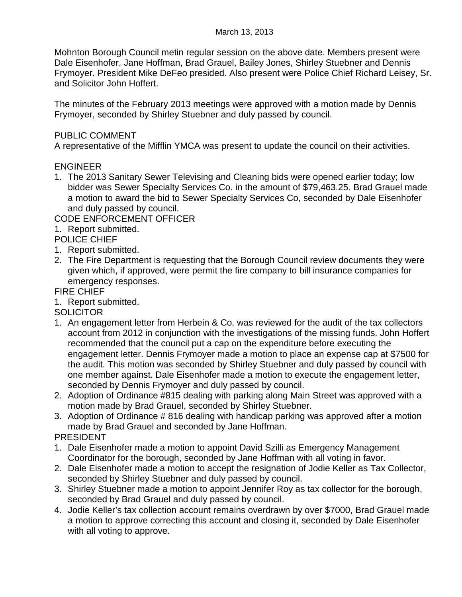Mohnton Borough Council metin regular session on the above date. Members present were Dale Eisenhofer, Jane Hoffman, Brad Grauel, Bailey Jones, Shirley Stuebner and Dennis Frymoyer. President Mike DeFeo presided. Also present were Police Chief Richard Leisey, Sr. and Solicitor John Hoffert.

The minutes of the February 2013 meetings were approved with a motion made by Dennis Frymoyer, seconded by Shirley Stuebner and duly passed by council.

## PUBLIC COMMENT

A representative of the Mifflin YMCA was present to update the council on their activities.

## ENGINEER

1. The 2013 Sanitary Sewer Televising and Cleaning bids were opened earlier today; low bidder was Sewer Specialty Services Co. in the amount of \$79,463.25. Brad Grauel made a motion to award the bid to Sewer Specialty Services Co, seconded by Dale Eisenhofer and duly passed by council.

CODE ENFORCEMENT OFFICER

1. Report submitted.

POLICE CHIEF

- 1. Report submitted.
- 2. The Fire Department is requesting that the Borough Council review documents they were given which, if approved, were permit the fire company to bill insurance companies for emergency responses.

FIRE CHIEF

1. Report submitted.

**SOLICITOR** 

- 1. An engagement letter from Herbein & Co. was reviewed for the audit of the tax collectors account from 2012 in conjunction with the investigations of the missing funds. John Hoffert recommended that the council put a cap on the expenditure before executing the engagement letter. Dennis Frymoyer made a motion to place an expense cap at \$7500 for the audit. This motion was seconded by Shirley Stuebner and duly passed by council with one member against. Dale Eisenhofer made a motion to execute the engagement letter, seconded by Dennis Frymoyer and duly passed by council.
- 2. Adoption of Ordinance #815 dealing with parking along Main Street was approved with a motion made by Brad Grauel, seconded by Shirley Stuebner.
- 3. Adoption of Ordinance # 816 dealing with handicap parking was approved after a motion made by Brad Grauel and seconded by Jane Hoffman.

PRESIDENT

- 1. Dale Eisenhofer made a motion to appoint David Szilli as Emergency Management Coordinator for the borough, seconded by Jane Hoffman with all voting in favor.
- 2. Dale Eisenhofer made a motion to accept the resignation of Jodie Keller as Tax Collector, seconded by Shirley Stuebner and duly passed by council.
- 3. Shirley Stuebner made a motion to appoint Jennifer Roy as tax collector for the borough, seconded by Brad Grauel and duly passed by council.
- 4. Jodie Keller's tax collection account remains overdrawn by over \$7000, Brad Grauel made a motion to approve correcting this account and closing it, seconded by Dale Eisenhofer with all voting to approve.